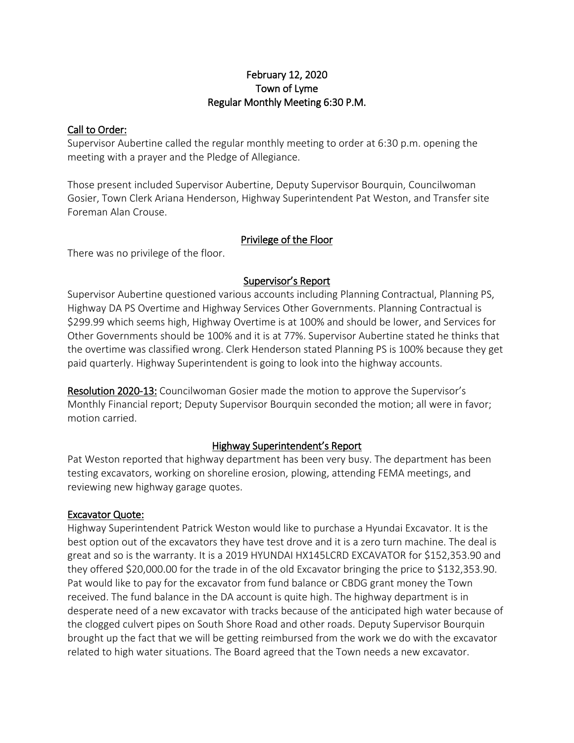## February 12, 2020 Town of Lyme Regular Monthly Meeting 6:30 P.M.

### Call to Order:

Supervisor Aubertine called the regular monthly meeting to order at 6:30 p.m. opening the meeting with a prayer and the Pledge of Allegiance.

Those present included Supervisor Aubertine, Deputy Supervisor Bourquin, Councilwoman Gosier, Town Clerk Ariana Henderson, Highway Superintendent Pat Weston, and Transfer site Foreman Alan Crouse.

## Privilege of the Floor

There was no privilege of the floor.

## Supervisor's Report

Supervisor Aubertine questioned various accounts including Planning Contractual, Planning PS, Highway DA PS Overtime and Highway Services Other Governments. Planning Contractual is \$299.99 which seems high, Highway Overtime is at 100% and should be lower, and Services for Other Governments should be 100% and it is at 77%. Supervisor Aubertine stated he thinks that the overtime was classified wrong. Clerk Henderson stated Planning PS is 100% because they get paid quarterly. Highway Superintendent is going to look into the highway accounts.

Resolution 2020-13: Councilwoman Gosier made the motion to approve the Supervisor's Monthly Financial report; Deputy Supervisor Bourquin seconded the motion; all were in favor; motion carried.

## Highway Superintendent's Report

Pat Weston reported that highway department has been very busy. The department has been testing excavators, working on shoreline erosion, plowing, attending FEMA meetings, and reviewing new highway garage quotes.

## Excavator Quote:

Highway Superintendent Patrick Weston would like to purchase a Hyundai Excavator. It is the best option out of the excavators they have test drove and it is a zero turn machine. The deal is great and so is the warranty. It is a 2019 HYUNDAI HX145LCRD EXCAVATOR for \$152,353.90 and they offered \$20,000.00 for the trade in of the old Excavator bringing the price to \$132,353.90. Pat would like to pay for the excavator from fund balance or CBDG grant money the Town received. The fund balance in the DA account is quite high. The highway department is in desperate need of a new excavator with tracks because of the anticipated high water because of the clogged culvert pipes on South Shore Road and other roads. Deputy Supervisor Bourquin brought up the fact that we will be getting reimbursed from the work we do with the excavator related to high water situations. The Board agreed that the Town needs a new excavator.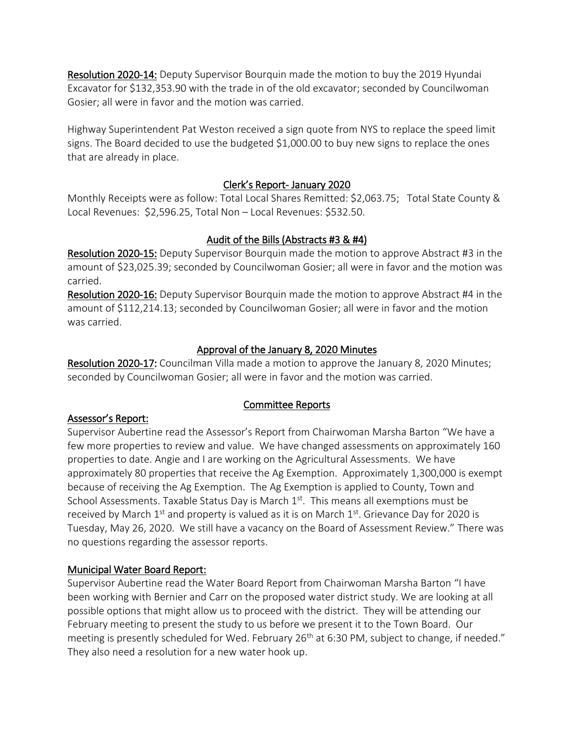Resolution 2020-14: Deputy Supervisor Bourquin made the motion to buy the 2019 Hyundai Excavator for \$132,353.90 with the trade in of the old excavator; seconded by Councilwoman Gosier; all were in favor and the motion was carried.

Highway Superintendent Pat Weston received a sign quote from NYS to replace the speed limit signs. The Board decided to use the budgeted \$1,000.00 to buy new signs to replace the ones that are already in place.

## Clerk's Report- January 2020

Monthly Receipts were as follow: Total Local Shares Remitted: \$2,063.75; Total State County & Local Revenues: \$2,596.25, Total Non – Local Revenues: \$532.50.

# Audit of the Bills (Abstracts #3 & #4)

Resolution 2020-15: Deputy Supervisor Bourquin made the motion to approve Abstract #3 in the amount of \$23,025.39; seconded by Councilwoman Gosier; all were in favor and the motion was carried.

Resolution 2020-16: Deputy Supervisor Bourquin made the motion to approve Abstract #4 in the amount of \$112,214.13; seconded by Councilwoman Gosier; all were in favor and the motion was carried.

# Approval of the January 8, 2020 Minutes

Resolution 2020-17: Councilman Villa made a motion to approve the January 8, 2020 Minutes; seconded by Councilwoman Gosier; all were in favor and the motion was carried.

# Assessor's Report:

# Committee Reports

Supervisor Aubertine read the Assessor's Report from Chairwoman Marsha Barton "We have a few more properties to review and value. We have changed assessments on approximately 160 properties to date. Angie and I are working on the Agricultural Assessments. We have approximately 80 properties that receive the Ag Exemption. Approximately 1,300,000 is exempt because of receiving the Ag Exemption. The Ag Exemption is applied to County, Town and School Assessments. Taxable Status Day is March  $1<sup>st</sup>$ . This means all exemptions must be received by March  $1<sup>st</sup>$  and property is valued as it is on March  $1<sup>st</sup>$ . Grievance Day for 2020 is Tuesday, May 26, 2020. We still have a vacancy on the Board of Assessment Review." There was no questions regarding the assessor reports.

# Municipal Water Board Report:

Supervisor Aubertine read the Water Board Report from Chairwoman Marsha Barton "I have been working with Bernier and Carr on the proposed water district study. We are looking at all possible options that might allow us to proceed with the district. They will be attending our February meeting to present the study to us before we present it to the Town Board. Our meeting is presently scheduled for Wed. February 26<sup>th</sup> at 6:30 PM, subject to change, if needed." They also need a resolution for a new water hook up.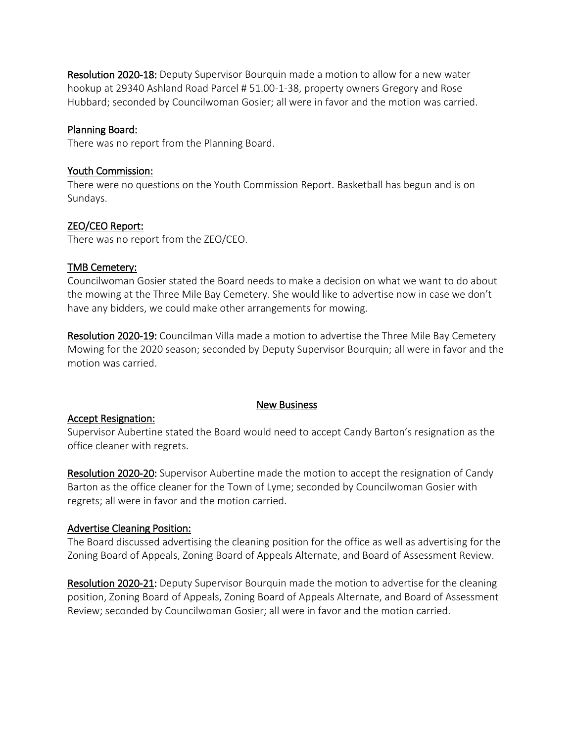Resolution 2020-18: Deputy Supervisor Bourquin made a motion to allow for a new water hookup at 29340 Ashland Road Parcel # 51.00-1-38, property owners Gregory and Rose Hubbard; seconded by Councilwoman Gosier; all were in favor and the motion was carried.

#### Planning Board:

There was no report from the Planning Board.

#### Youth Commission:

There were no questions on the Youth Commission Report. Basketball has begun and is on Sundays.

## ZEO/CEO Report:

There was no report from the ZEO/CEO.

#### TMB Cemetery:

Councilwoman Gosier stated the Board needs to make a decision on what we want to do about the mowing at the Three Mile Bay Cemetery. She would like to advertise now in case we don't have any bidders, we could make other arrangements for mowing.

Resolution 2020-19: Councilman Villa made a motion to advertise the Three Mile Bay Cemetery Mowing for the 2020 season; seconded by Deputy Supervisor Bourquin; all were in favor and the motion was carried.

#### Accept Resignation:

#### New Business

Supervisor Aubertine stated the Board would need to accept Candy Barton's resignation as the office cleaner with regrets.

Resolution 2020-20: Supervisor Aubertine made the motion to accept the resignation of Candy Barton as the office cleaner for the Town of Lyme; seconded by Councilwoman Gosier with regrets; all were in favor and the motion carried.

#### Advertise Cleaning Position:

The Board discussed advertising the cleaning position for the office as well as advertising for the Zoning Board of Appeals, Zoning Board of Appeals Alternate, and Board of Assessment Review.

Resolution 2020-21: Deputy Supervisor Bourquin made the motion to advertise for the cleaning position, Zoning Board of Appeals, Zoning Board of Appeals Alternate, and Board of Assessment Review; seconded by Councilwoman Gosier; all were in favor and the motion carried.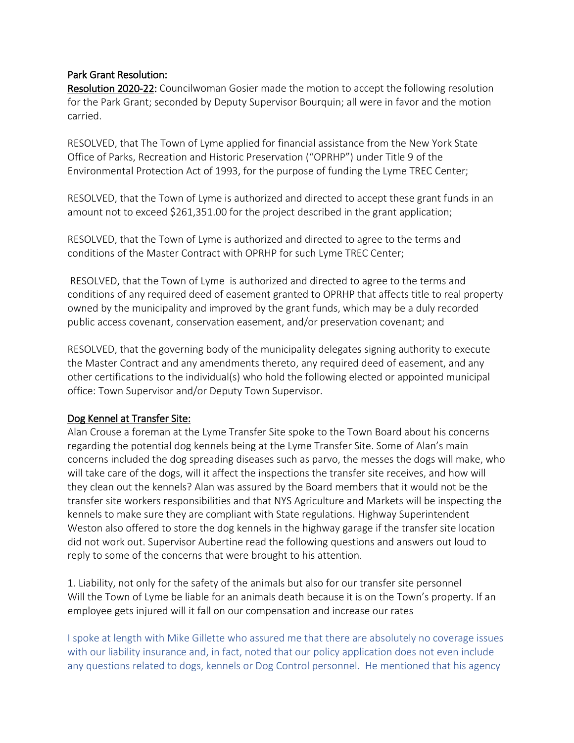## Park Grant Resolution:

Resolution 2020-22: Councilwoman Gosier made the motion to accept the following resolution for the Park Grant; seconded by Deputy Supervisor Bourquin; all were in favor and the motion carried.

RESOLVED, that The Town of Lyme applied for financial assistance from the New York State Office of Parks, Recreation and Historic Preservation ("OPRHP") under Title 9 of the Environmental Protection Act of 1993, for the purpose of funding the Lyme TREC Center;

RESOLVED, that the Town of Lyme is authorized and directed to accept these grant funds in an amount not to exceed \$261,351.00 for the project described in the grant application;

RESOLVED, that the Town of Lyme is authorized and directed to agree to the terms and conditions of the Master Contract with OPRHP for such Lyme TREC Center;

RESOLVED, that the Town of Lyme is authorized and directed to agree to the terms and conditions of any required deed of easement granted to OPRHP that affects title to real property owned by the municipality and improved by the grant funds, which may be a duly recorded public access covenant, conservation easement, and/or preservation covenant; and

RESOLVED, that the governing body of the municipality delegates signing authority to execute the Master Contract and any amendments thereto, any required deed of easement, and any other certifications to the individual(s) who hold the following elected or appointed municipal office: Town Supervisor and/or Deputy Town Supervisor.

#### Dog Kennel at Transfer Site:

Alan Crouse a foreman at the Lyme Transfer Site spoke to the Town Board about his concerns regarding the potential dog kennels being at the Lyme Transfer Site. Some of Alan's main concerns included the dog spreading diseases such as parvo, the messes the dogs will make, who will take care of the dogs, will it affect the inspections the transfer site receives, and how will they clean out the kennels? Alan was assured by the Board members that it would not be the transfer site workers responsibilities and that NYS Agriculture and Markets will be inspecting the kennels to make sure they are compliant with State regulations. Highway Superintendent Weston also offered to store the dog kennels in the highway garage if the transfer site location did not work out. Supervisor Aubertine read the following questions and answers out loud to reply to some of the concerns that were brought to his attention.

1. Liability, not only for the safety of the animals but also for our transfer site personnel Will the Town of Lyme be liable for an animals death because it is on the Town's property. If an employee gets injured will it fall on our compensation and increase our rates

I spoke at length with Mike Gillette who assured me that there are absolutely no coverage issues with our liability insurance and, in fact, noted that our policy application does not even include any questions related to dogs, kennels or Dog Control personnel. He mentioned that his agency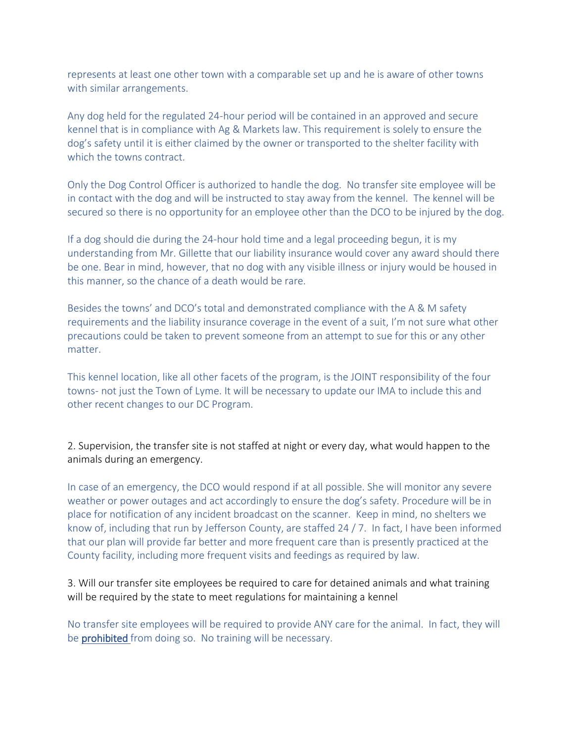represents at least one other town with a comparable set up and he is aware of other towns with similar arrangements.

Any dog held for the regulated 24-hour period will be contained in an approved and secure kennel that is in compliance with Ag & Markets law. This requirement is solely to ensure the dog's safety until it is either claimed by the owner or transported to the shelter facility with which the towns contract.

Only the Dog Control Officer is authorized to handle the dog. No transfer site employee will be in contact with the dog and will be instructed to stay away from the kennel. The kennel will be secured so there is no opportunity for an employee other than the DCO to be injured by the dog.

If a dog should die during the 24-hour hold time and a legal proceeding begun, it is my understanding from Mr. Gillette that our liability insurance would cover any award should there be one. Bear in mind, however, that no dog with any visible illness or injury would be housed in this manner, so the chance of a death would be rare.

Besides the towns' and DCO's total and demonstrated compliance with the A & M safety requirements and the liability insurance coverage in the event of a suit, I'm not sure what other precautions could be taken to prevent someone from an attempt to sue for this or any other matter.

This kennel location, like all other facets of the program, is the JOINT responsibility of the four towns- not just the Town of Lyme. It will be necessary to update our IMA to include this and other recent changes to our DC Program.

2. Supervision, the transfer site is not staffed at night or every day, what would happen to the animals during an emergency.

In case of an emergency, the DCO would respond if at all possible. She will monitor any severe weather or power outages and act accordingly to ensure the dog's safety. Procedure will be in place for notification of any incident broadcast on the scanner. Keep in mind, no shelters we know of, including that run by Jefferson County, are staffed 24 / 7. In fact, I have been informed that our plan will provide far better and more frequent care than is presently practiced at the County facility, including more frequent visits and feedings as required by law.

3. Will our transfer site employees be required to care for detained animals and what training will be required by the state to meet regulations for maintaining a kennel

No transfer site employees will be required to provide ANY care for the animal. In fact, they will be **prohibited** from doing so. No training will be necessary.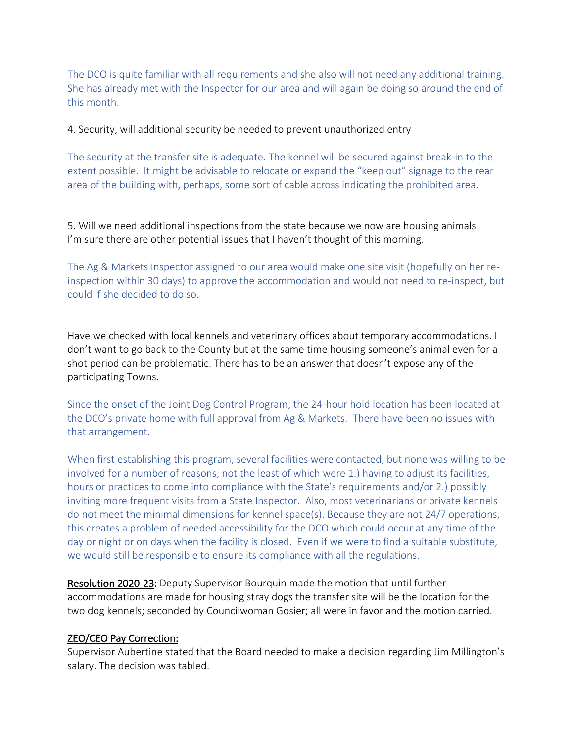The DCO is quite familiar with all requirements and she also will not need any additional training. She has already met with the Inspector for our area and will again be doing so around the end of this month.

4. Security, will additional security be needed to prevent unauthorized entry

The security at the transfer site is adequate. The kennel will be secured against break-in to the extent possible. It might be advisable to relocate or expand the "keep out" signage to the rear area of the building with, perhaps, some sort of cable across indicating the prohibited area.

5. Will we need additional inspections from the state because we now are housing animals I'm sure there are other potential issues that I haven't thought of this morning.

The Ag & Markets Inspector assigned to our area would make one site visit (hopefully on her reinspection within 30 days) to approve the accommodation and would not need to re-inspect, but could if she decided to do so.

Have we checked with local kennels and veterinary offices about temporary accommodations. I don't want to go back to the County but at the same time housing someone's animal even for a shot period can be problematic. There has to be an answer that doesn't expose any of the participating Towns.

Since the onset of the Joint Dog Control Program, the 24-hour hold location has been located at the DCO's private home with full approval from Ag & Markets. There have been no issues with that arrangement.

When first establishing this program, several facilities were contacted, but none was willing to be involved for a number of reasons, not the least of which were 1.) having to adjust its facilities, hours or practices to come into compliance with the State's requirements and/or 2.) possibly inviting more frequent visits from a State Inspector. Also, most veterinarians or private kennels do not meet the minimal dimensions for kennel space(s). Because they are not 24/7 operations, this creates a problem of needed accessibility for the DCO which could occur at any time of the day or night or on days when the facility is closed. Even if we were to find a suitable substitute, we would still be responsible to ensure its compliance with all the regulations.

Resolution 2020-23: Deputy Supervisor Bourquin made the motion that until further accommodations are made for housing stray dogs the transfer site will be the location for the two dog kennels; seconded by Councilwoman Gosier; all were in favor and the motion carried.

## ZEO/CEO Pay Correction:

Supervisor Aubertine stated that the Board needed to make a decision regarding Jim Millington's salary. The decision was tabled.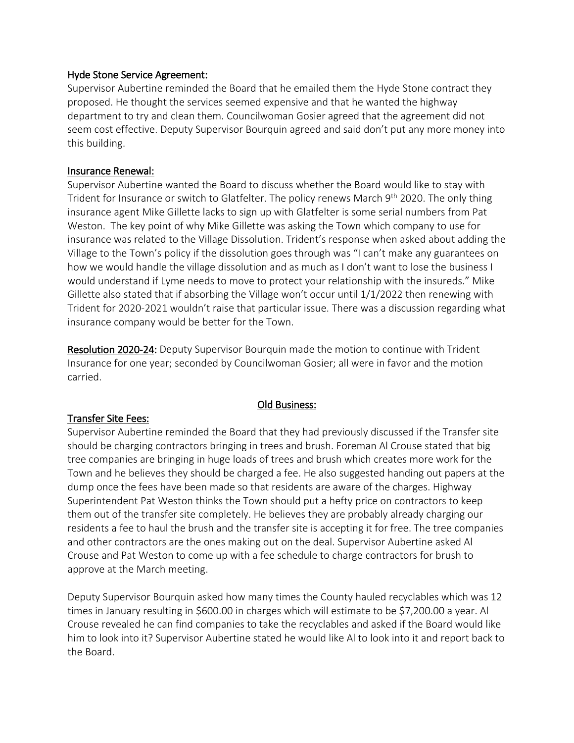#### Hyde Stone Service Agreement:

Supervisor Aubertine reminded the Board that he emailed them the Hyde Stone contract they proposed. He thought the services seemed expensive and that he wanted the highway department to try and clean them. Councilwoman Gosier agreed that the agreement did not seem cost effective. Deputy Supervisor Bourquin agreed and said don't put any more money into this building.

#### Insurance Renewal:

Supervisor Aubertine wanted the Board to discuss whether the Board would like to stay with Trident for Insurance or switch to Glatfelter. The policy renews March 9<sup>th</sup> 2020. The only thing insurance agent Mike Gillette lacks to sign up with Glatfelter is some serial numbers from Pat Weston. The key point of why Mike Gillette was asking the Town which company to use for insurance was related to the Village Dissolution. Trident's response when asked about adding the Village to the Town's policy if the dissolution goes through was "I can't make any guarantees on how we would handle the village dissolution and as much as I don't want to lose the business I would understand if Lyme needs to move to protect your relationship with the insureds." Mike Gillette also stated that if absorbing the Village won't occur until 1/1/2022 then renewing with Trident for 2020-2021 wouldn't raise that particular issue. There was a discussion regarding what insurance company would be better for the Town.

Resolution 2020-24: Deputy Supervisor Bourquin made the motion to continue with Trident Insurance for one year; seconded by Councilwoman Gosier; all were in favor and the motion carried.

## Old Business:

#### Transfer Site Fees:

Supervisor Aubertine reminded the Board that they had previously discussed if the Transfer site should be charging contractors bringing in trees and brush. Foreman Al Crouse stated that big tree companies are bringing in huge loads of trees and brush which creates more work for the Town and he believes they should be charged a fee. He also suggested handing out papers at the dump once the fees have been made so that residents are aware of the charges. Highway Superintendent Pat Weston thinks the Town should put a hefty price on contractors to keep them out of the transfer site completely. He believes they are probably already charging our residents a fee to haul the brush and the transfer site is accepting it for free. The tree companies and other contractors are the ones making out on the deal. Supervisor Aubertine asked Al Crouse and Pat Weston to come up with a fee schedule to charge contractors for brush to approve at the March meeting.

Deputy Supervisor Bourquin asked how many times the County hauled recyclables which was 12 times in January resulting in \$600.00 in charges which will estimate to be \$7,200.00 a year. Al Crouse revealed he can find companies to take the recyclables and asked if the Board would like him to look into it? Supervisor Aubertine stated he would like Al to look into it and report back to the Board.